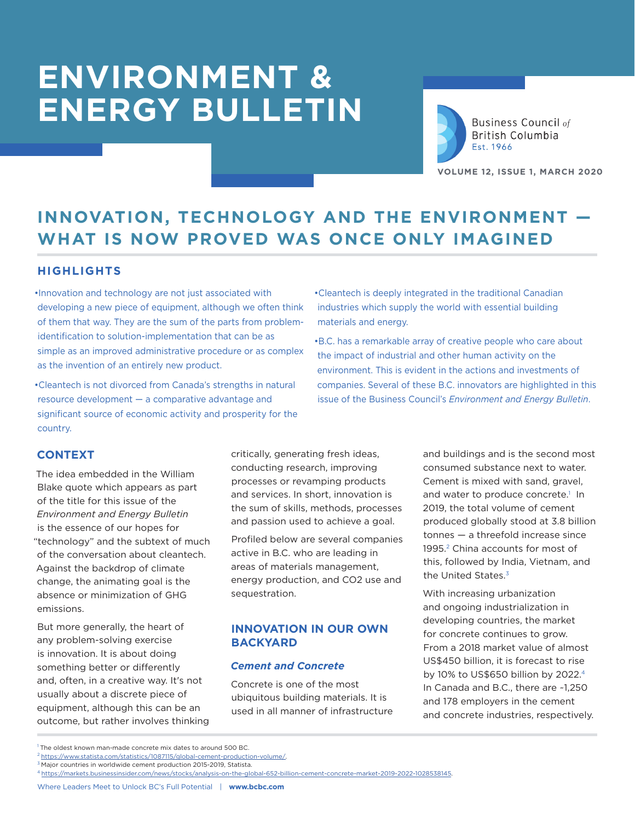

**Business Council of** British Columbia Est. 1966

**VOLUME 12, ISSUE 1, MARCH 2020**

## **INNOVATION, TECHNOLOGY AND THE ENVIRONMENT — WHAT IS NOW PROVED WAS ONCE ONLY IMAGINED**

#### **HIGHLIGHTS**

•Innovation and technology are not just associated with developing a new piece of equipment, although we often think of them that way. They are the sum of the parts from problemidentification to solution-implementation that can be as simple as an improved administrative procedure or as complex as the invention of an entirely new product.

•Cleantech is not divorced from Canada's strengths in natural resource development — a comparative advantage and significant source of economic activity and prosperity for the country.

- •Cleantech is deeply integrated in the traditional Canadian industries which supply the world with essential building materials and energy.
- •B.C. has a remarkable array of creative people who care about the impact of industrial and other human activity on the environment. This is evident in the actions and investments of companies. Several of these B.C. innovators are highlighted in this issue of the Business Council's *Environment and Energy Bulletin*.

#### **CONTEXT**

The idea embedded in the William Blake quote which appears as part of the title for this issue of the *Environment and Energy Bulletin* is the essence of our hopes for "technology" and the subtext of much of the conversation about cleantech. Against the backdrop of climate change, the animating goal is the absence or minimization of GHG emissions.

But more generally, the heart of any problem-solving exercise is innovation. It is about doing something better or differently and, often, in a creative way. It's not usually about a discrete piece of equipment, although this can be an outcome, but rather involves thinking critically, generating fresh ideas, conducting research, improving processes or revamping products and services. In short, innovation is the sum of skills, methods, processes and passion used to achieve a goal.

Profiled below are several companies active in B.C. who are leading in areas of materials management, energy production, and CO2 use and sequestration.

#### **INNOVATION IN OUR OWN BACKYARD**

#### *Cement and Concrete*

Concrete is one of the most ubiquitous building materials. It is used in all manner of infrastructure and buildings and is the second most consumed substance next to water. Cement is mixed with sand, gravel, and water to produce concrete.<sup>1</sup> In 2019, the total volume of cement produced globally stood at 3.8 billion tonnes — a threefold increase since 1995.<sup>2</sup> China accounts for most of this, followed by India, Vietnam, and the United States.<sup>3</sup>

With increasing urbanization and ongoing industrialization in developing countries, the market for concrete continues to grow. From a 2018 market value of almost US\$450 billion, it is forecast to rise by 10% to US\$650 billion by 2022.4 In Canada and B.C., there are ~1,250 and 178 employers in the cement and concrete industries, respectively.

<sup>3</sup> Major countries in worldwide cement production 2015-2019, Statista.

<sup>&</sup>lt;sup>1</sup> The oldest known man-made concrete mix dates to around 500 BC.

 $^2$  https://www.statista.com/statistics/1087115/global-cement-production-volume/.

<sup>4</sup> https://markets.businessinsider.com/news/stocks/analysis-on-the-global-652-billion-cement-concrete-market-2019-2022-1028538145.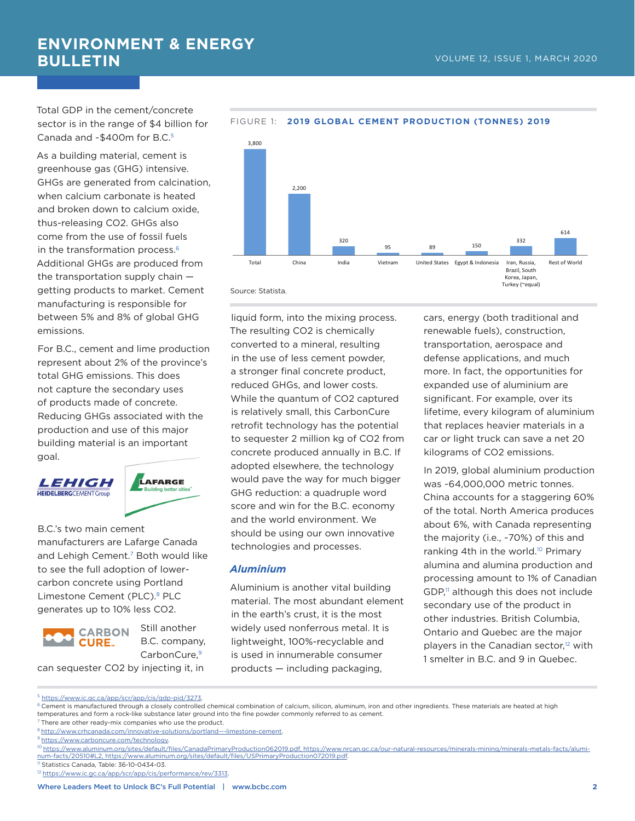Total GDP in the cement/concrete sector is in the range of \$4 billion for Canada and ~\$400m for B.C.<sup>5</sup>

As a building material, cement is greenhouse gas (GHG) intensive. GHGs are generated from calcination, when calcium carbonate is heated and broken down to calcium oxide, thus-releasing CO2. GHGs also come from the use of fossil fuels in the transformation process.<sup>6</sup> Additional GHGs are produced from the transportation supply chain getting products to market. Cement manufacturing is responsible for between 5% and 8% of global GHG emissions.

For B.C., cement and lime production represent about 2% of the province's total GHG emissions. This does not capture the secondary uses of products made of concrete. Reducing GHGs associated with the production and use of this major building material is an important goal.

*LEHIGH* **HEIDELBERG**CEMENT Group



B.C.'s two main cement manufacturers are Lafarge Canada and Lehigh Cement.<sup>7</sup> Both would like to see the full adoption of lowercarbon concrete using Portland Limestone Cement (PLC).<sup>8</sup> PLC generates up to 10% less CO2.



Still another B.C. company, CarbonCure.<sup>9</sup>

can sequester CO2 by injecting it, in



#### FIGURE 1: **2019 GLOBAL CEMENT PRODUCTION (TONNES) 2019**

liquid form, into the mixing process. The resulting CO2 is chemically converted to a mineral, resulting in the use of less cement powder, a stronger final concrete product, reduced GHGs, and lower costs. While the quantum of CO2 captured is relatively small, this CarbonCure retrofit technology has the potential to sequester 2 million kg of CO2 from concrete produced annually in B.C. If adopted elsewhere, the technology would pave the way for much bigger GHG reduction: a quadruple word score and win for the B.C. economy and the world environment. We should be using our own innovative technologies and processes.

#### *Aluminium*

Aluminium is another vital building material. The most abundant element in the earth's crust, it is the most widely used nonferrous metal. It is lightweight, 100%-recyclable and is used in innumerable consumer products — including packaging,

cars, energy (both traditional and renewable fuels), construction, transportation, aerospace and defense applications, and much more. In fact, the opportunities for expanded use of aluminium are significant. For example, over its lifetime, every kilogram of aluminium that replaces heavier materials in a car or light truck can save a net 20 kilograms of CO2 emissions.

In 2019, global aluminium production was ~64,000,000 metric tonnes. China accounts for a staggering 60% of the total. North America produces about 6%, with Canada representing the majority (i.e., ~70%) of this and ranking 4th in the world.10 Primary alumina and alumina production and processing amount to 1% of Canadian GDP,<sup>11</sup> although this does not include secondary use of the product in other industries. British Columbia, Ontario and Quebec are the major players in the Canadian sector,<sup>12</sup> with 1 smelter in B.C. and 9 in Quebec.

<sup>5</sup> https://www.ic.gc.ca/app/scr/app/cis/gdp-pid/3273.

 $6$  Cement is manufactured through a closely controlled chemical combination of calcium, silicon, aluminum, iron and other ingredients. These materials are heated at high temperatures and form a rock-like substance later ground into the fine powder commonly referred to as cement.

<sup>7</sup> There are other ready-mix companies who use the product.

<sup>8</sup> http://www.crhcanada.com/innovative-solutions/portland---limestone-cement.

<sup>&</sup>lt;sup>9</sup> https://www.carboncure.com/technology.

<sup>10</sup> https://www.aluminum.org/sites/default/files/CanadaPrimaryProduction062019.pdf, https://www.nrcan.gc.ca/our-natural-resources/minerals-mining/minerals-metals-facts/aluminum-facts/20510#L2, https://www.aluminum.org/sites/default/files/USPrimaryProduction072019.pdf.

<sup>&</sup>lt;sup>11</sup> Statistics Canada, Table: 36-10-0434-03.

<sup>&</sup>lt;sup>12</sup> https://www.ic.gc.ca/app/scr/app/cis/performance/rev/3313.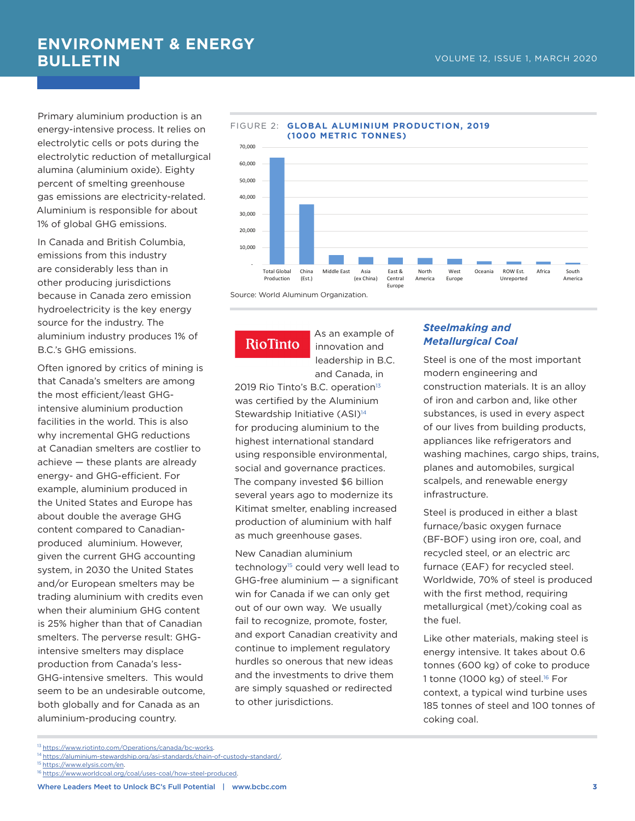Primary aluminium production is an energy-intensive process. It relies on electrolytic cells or pots during the electrolytic reduction of metallurgical alumina (aluminium oxide). Eighty percent of smelting greenhouse gas emissions are electricity-related. Aluminium is responsible for about 1% of global GHG emissions.

In Canada and British Columbia, emissions from this industry are considerably less than in other producing jurisdictions because in Canada zero emission hydroelectricity is the key energy source for the industry. The aluminium industry produces 1% of B.C.'s GHG emissions.

Often ignored by critics of mining is that Canada's smelters are among the most efficient/least GHGintensive aluminium production facilities in the world. This is also why incremental GHG reductions at Canadian smelters are costlier to achieve — these plants are already energy- and GHG-efficient. For example, aluminium produced in the United States and Europe has about double the average GHG content compared to Canadianproduced aluminium. However, given the current GHG accounting system, in 2030 the United States and/or European smelters may be trading aluminium with credits even when their aluminium GHG content is 25% higher than that of Canadian smelters. The perverse result: GHGintensive smelters may displace production from Canada's less-GHG-intensive smelters. This would seem to be an undesirable outcome, both globally and for Canada as an aluminium-producing country.



FIGURE 2: **GLOBAL ALUMINIUM PRODUCTION, 2019** 

### **RioTinto**

As an example of innovation and leadership in B.C. and Canada, in

2019 Rio Tinto's B.C. operation<sup>13</sup> was certified by the Aluminium Stewardship Initiative (ASI)<sup>14</sup> for producing aluminium to the highest international standard using responsible environmental, social and governance practices. The company invested \$6 billion several years ago to modernize its Kitimat smelter, enabling increased production of aluminium with half as much greenhouse gases.

New Canadian aluminium technology<sup>15</sup> could very well lead to GHG-free aluminium — a significant win for Canada if we can only get out of our own way. We usually fail to recognize, promote, foster, and export Canadian creativity and continue to implement regulatory hurdles so onerous that new ideas and the investments to drive them are simply squashed or redirected to other jurisdictions.

#### *Steelmaking and Metallurgical Coal*

Steel is one of the most important modern engineering and construction materials. It is an alloy of iron and carbon and, like other substances, is used in every aspect of our lives from building products, appliances like refrigerators and washing machines, cargo ships, trains, planes and automobiles, surgical scalpels, and renewable energy infrastructure.

Steel is produced in either a blast furnace/basic oxygen furnace (BF-BOF) using iron ore, coal, and recycled steel, or an electric arc furnace (EAF) for recycled steel. Worldwide, 70% of steel is produced with the first method, requiring metallurgical (met)/coking coal as the fuel.

Like other materials, making steel is energy intensive. It takes about 0.6 tonnes (600 kg) of coke to produce 1 tonne (1000 kg) of steel.<sup>16</sup> For context, a typical wind turbine uses 185 tonnes of steel and 100 tonnes of coking coal.

<sup>13</sup> https://www.riotinto.com/Operations/canada/bc-works.

<sup>&</sup>lt;sup>14</sup> https://aluminium-stewardship.org/asi-standards/chain-of-custody-standard/.

<sup>&</sup>lt;sup>15</sup> https://www.elysis.com/en.

<sup>16</sup> https://www.worldcoal.org/coal/uses-coal/how-steel-produced.

Where Leaders Meet to Unlock BC's Full Potential | www.bcbc.com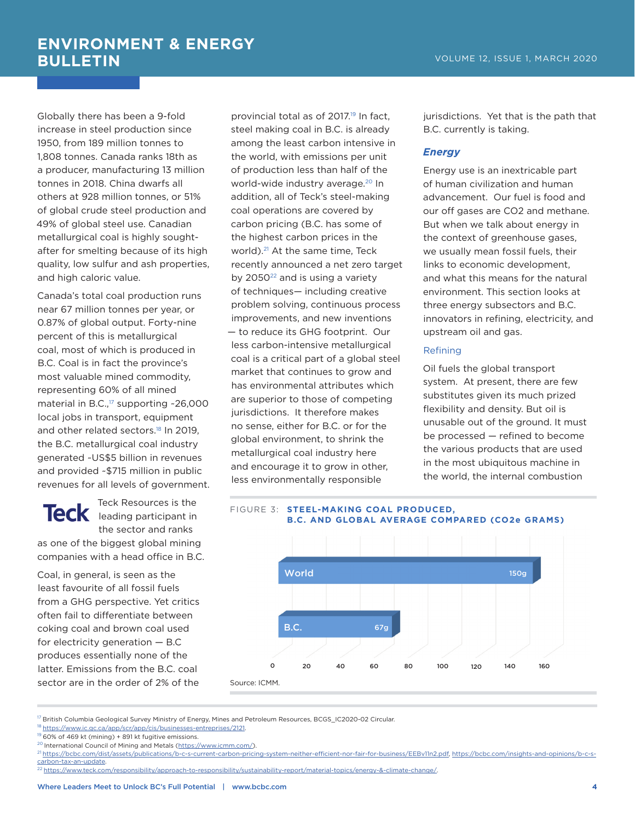Globally there has been a 9-fold increase in steel production since 1950, from 189 million tonnes to 1,808 tonnes. Canada ranks 18th as a producer, manufacturing 13 million tonnes in 2018. China dwarfs all others at 928 million tonnes, or 51% of global crude steel production and 49% of global steel use. Canadian metallurgical coal is highly soughtafter for smelting because of its high quality, low sulfur and ash properties, and high caloric value.

Canada's total coal production runs near 67 million tonnes per year, or 0.87% of global output. Forty-nine percent of this is metallurgical coal, most of which is produced in B.C. Coal is in fact the province's most valuable mined commodity, representing 60% of all mined material in B.C., $17$  supporting  $-26,000$ local jobs in transport, equipment and other related sectors.<sup>18</sup> In 2019, the B.C. metallurgical coal industry generated ~US\$5 billion in revenues and provided ~\$715 million in public revenues for all levels of government.

Teck Resources is the Teck leading participant in the sector and ranks as one of the biggest global mining companies with a head office in B.C.

Coal, in general, is seen as the least favourite of all fossil fuels from a GHG perspective. Yet critics often fail to differentiate between coking coal and brown coal used for electricity generation — B.C produces essentially none of the latter. Emissions from the B.C. coal sector are in the order of 2% of the

provincial total as of 2017.19 In fact, steel making coal in B.C. is already among the least carbon intensive in the world, with emissions per unit of production less than half of the world-wide industry average.20 In addition, all of Teck's steel-making coal operations are covered by carbon pricing (B.C. has some of the highest carbon prices in the world).<sup>21</sup> At the same time, Teck recently announced a net zero target by 2050<sup>22</sup> and is using a variety of techniques— including creative problem solving, continuous process improvements, and new inventions — to reduce its GHG footprint. Our less carbon-intensive metallurgical coal is a critical part of a global steel market that continues to grow and has environmental attributes which are superior to those of competing jurisdictions. It therefore makes no sense, either for B.C. or for the global environment, to shrink the metallurgical coal industry here and encourage it to grow in other, less environmentally responsible

jurisdictions. Yet that is the path that B.C. currently is taking.

#### *Energy*

Energy use is an inextricable part of human civilization and human advancement. Our fuel is food and our off gases are CO2 and methane. But when we talk about energy in the context of greenhouse gases, we usually mean fossil fuels, their links to economic development, and what this means for the natural environment. This section looks at three energy subsectors and B.C. innovators in refining, electricity, and upstream oil and gas.

#### Refining

Oil fuels the global transport system. At present, there are few substitutes given its much prized flexibility and density. But oil is unusable out of the ground. It must be processed — refined to become the various products that are used in the most ubiquitous machine in the world, the internal combustion

#### FIGURE 3: **STEEL-MAKING COAL PRODUCED, B.C. AND GLOBAL AVERAGE COMPARED (CO2e GRAMS)**



<sup>17</sup> British Columbia Geological Survey Ministry of Energy, Mines and Petroleum Resources, BCGS\_IC2020-02 Circular.

 $19\overline{60\%}$  of 469 kt (mining) + 891 kt fugitive emissions.

<sup>&</sup>lt;sup>18</sup> https://www.ic.gc.ca/app/scr/app/cis/businesses-entreprises/2121.

<sup>&</sup>lt;sup>20</sup> International Council of Mining and Metals (https://www.icmm.com/).

<sup>21</sup> https://bcbc.com/dist/assets/publications/b-c-s-current-carbon-pricing-system-neither-efficient-nor-fair-for-business/EEBv11n2.pdf, https://bcbc.com/insights-and-opinions/b-c-scarbon-tax-an-update.

<sup>22</sup> https://www.teck.com/responsibility/approach-to-responsibility/sustainability-report/material-topics/energy-&-climate-change/.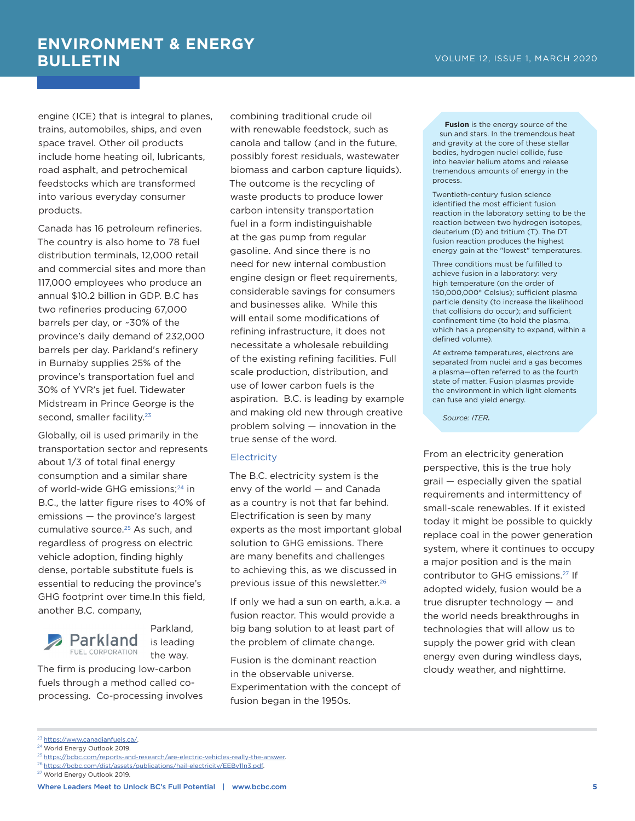engine (ICE) that is integral to planes, trains, automobiles, ships, and even space travel. Other oil products include home heating oil, lubricants, road asphalt, and petrochemical feedstocks which are transformed into various everyday consumer products.

Canada has 16 petroleum refineries. The country is also home to 78 fuel distribution terminals, 12,000 retail and commercial sites and more than 117,000 employees who produce an annual \$10.2 billion in GDP. B.C has two refineries producing 67,000 barrels per day, or ~30% of the province's daily demand of 232,000 barrels per day. Parkland's refinery in Burnaby supplies 25% of the province's transportation fuel and 30% of YVR's jet fuel. Tidewater Midstream in Prince George is the second, smaller facility.<sup>23</sup>

Globally, oil is used primarily in the transportation sector and represents about 1/3 of total final energy consumption and a similar share of world-wide GHG emissions;<sup>24</sup> in B.C., the latter figure rises to 40% of emissions — the province's largest cumulative source.<sup>25</sup> As such, and regardless of progress on electric vehicle adoption, finding highly dense, portable substitute fuels is essential to reducing the province's GHG footprint over time.In this field, another B.C. company,



Parkland, is leading the way.

The firm is producing low-carbon fuels through a method called coprocessing. Co-processing involves

combining traditional crude oil with renewable feedstock, such as canola and tallow (and in the future, possibly forest residuals, wastewater biomass and carbon capture liquids). The outcome is the recycling of waste products to produce lower carbon intensity transportation fuel in a form indistinguishable at the gas pump from regular gasoline. And since there is no need for new internal combustion engine design or fleet requirements, considerable savings for consumers and businesses alike. While this will entail some modifications of refining infrastructure, it does not necessitate a wholesale rebuilding of the existing refining facilities. Full scale production, distribution, and use of lower carbon fuels is the aspiration. B.C. is leading by example and making old new through creative problem solving — innovation in the true sense of the word.

#### **Electricity**

The B.C. electricity system is the envy of the world — and Canada as a country is not that far behind. Electrification is seen by many experts as the most important global solution to GHG emissions. There are many benefits and challenges to achieving this, as we discussed in previous issue of this newsletter.26

If only we had a sun on earth, a.k.a. a fusion reactor. This would provide a big bang solution to at least part of the problem of climate change.

Fusion is the dominant reaction in the observable universe. Experimentation with the concept of fusion began in the 1950s.

**Fusion** is the energy source of the sun and stars. In the tremendous heat and gravity at the core of these stellar bodies, hydrogen nuclei collide, fuse into heavier helium atoms and release tremendous amounts of energy in the process.

Twentieth-century fusion science identified the most efficient fusion reaction in the laboratory setting to be the reaction between two hydrogen isotopes, deuterium (D) and tritium (T). The DT fusion reaction produces the highest energy gain at the "lowest" temperatures.

Three conditions must be fulfilled to achieve fusion in a laboratory: very high temperature (on the order of 150,000,000° Celsius); sufficient plasma particle density (to increase the likelihood that collisions do occur); and sufficient confinement time (to hold the plasma, which has a propensity to expand, within a defined volume).

At extreme temperatures, electrons are separated from nuclei and a gas becomes a plasma—often referred to as the fourth state of matter. Fusion plasmas provide the environment in which light elements can fuse and yield energy.

*Source: ITER.*

From an electricity generation perspective, this is the true holy grail — especially given the spatial requirements and intermittency of small-scale renewables. If it existed today it might be possible to quickly replace coal in the power generation system, where it continues to occupy a major position and is the main contributor to GHG emissions.27 If adopted widely, fusion would be a true disrupter technology — and the world needs breakthroughs in technologies that will allow us to supply the power grid with clean energy even during windless days, cloudy weather, and nighttime.

<sup>23</sup> https://www.canadianfuels.ca/.

<sup>24</sup> World Energy Outlook 2019.

<sup>25</sup> https://bcbc.com/reports-and-research/are-electric-vehicles-really-the-answer.

<sup>&</sup>lt;sup>26</sup> https://bcbc.com/dist/assets/publications/hail-electricity/EEBv11n3.pdf.

<sup>27</sup> World Energy Outlook 2019.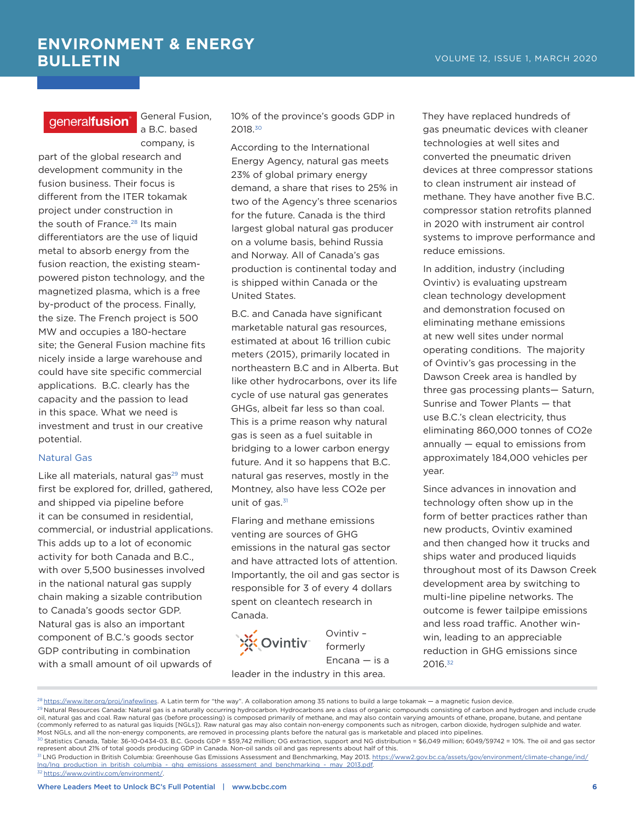#### aeneralfusion<sup>®</sup>

General Fusion, a B.C. based company, is

part of the global research and development community in the fusion business. Their focus is different from the ITER tokamak project under construction in the south of France.<sup>28</sup> Its main differentiators are the use of liquid metal to absorb energy from the fusion reaction, the existing steampowered piston technology, and the magnetized plasma, which is a free by-product of the process. Finally, the size. The French project is 500 MW and occupies a 180-hectare site; the General Fusion machine fits nicely inside a large warehouse and could have site specific commercial applications. B.C. clearly has the capacity and the passion to lead in this space. What we need is investment and trust in our creative potential.

#### Natural Gas

Like all materials, natural gas<sup>29</sup> must first be explored for, drilled, gathered, and shipped via pipeline before it can be consumed in residential, commercial, or industrial applications. This adds up to a lot of economic activity for both Canada and B.C., with over 5,500 businesses involved in the national natural gas supply chain making a sizable contribution to Canada's goods sector GDP. Natural gas is also an important component of B.C.'s goods sector GDP contributing in combination with a small amount of oil upwards of

10% of the province's goods GDP in 2018.30

According to the International Energy Agency, natural gas meets 23% of global primary energy demand, a share that rises to 25% in two of the Agency's three scenarios for the future. Canada is the third largest global natural gas producer on a volume basis, behind Russia and Norway. All of Canada's gas production is continental today and is shipped within Canada or the United States.

B.C. and Canada have significant marketable natural gas resources, estimated at about 16 trillion cubic meters (2015), primarily located in northeastern B.C and in Alberta. But like other hydrocarbons, over its life cycle of use natural gas generates GHGs, albeit far less so than coal. This is a prime reason why natural gas is seen as a fuel suitable in bridging to a lower carbon energy future. And it so happens that B.C. natural gas reserves, mostly in the Montney, also have less CO2e per unit of gas. $31$ 

Flaring and methane emissions venting are sources of GHG emissions in the natural gas sector and have attracted lots of attention. Importantly, the oil and gas sector is responsible for 3 of every 4 dollars spent on cleantech research in Canada.



Ovintiv – formerly Encana — is a

leader in the industry in this area.

They have replaced hundreds of gas pneumatic devices with cleaner technologies at well sites and converted the pneumatic driven devices at three compressor stations to clean instrument air instead of methane. They have another five B.C. compressor station retrofits planned in 2020 with instrument air control systems to improve performance and reduce emissions.

In addition, industry (including Ovintiv) is evaluating upstream clean technology development and demonstration focused on eliminating methane emissions at new well sites under normal operating conditions. The majority of Ovintiv's gas processing in the Dawson Creek area is handled by three gas processing plants— Saturn, Sunrise and Tower Plants — that use B.C.'s clean electricity, thus eliminating 860,000 tonnes of CO2e annually — equal to emissions from approximately 184,000 vehicles per year.

Since advances in innovation and technology often show up in the form of better practices rather than new products, Ovintiv examined and then changed how it trucks and ships water and produced liquids throughout most of its Dawson Creek development area by switching to multi-line pipeline networks. The outcome is fewer tailpipe emissions and less road traffic. Another winwin, leading to an appreciable reduction in GHG emissions since 2016.32

<sup>32</sup> https://www.ovintiv.com/environment/.

https://www.iter.org/proj/inafewlines. A Latin term for "the way". A collaboration among 35 nations to build a large tokamak — a magnetic fusion device.

 $^{29}$  Natural Resources Canada: Natural gas is a naturally occurring hydrocarbon. Hydrocarbons are a class of organic compounds consisting of carbon and hydrogen and include crude oil, natural gas and coal. Raw natural gas (before processing) is composed primarily of methane, and may also contain varying amounts of ethane, propane, butane, and pentane (commonly referred to as natural gas liquids [NGLs]). Raw natural gas may also contain non-energy components such as nitrogen, carbon dioxide, hydrogen sulphide and water. Most NGLs, and all the non-energy components, are removed in processing plants before the natural gas is marketable and placed into pipelines.

 $30$  Statistics Canada, Table: 36-10-0434-03. B.C. Goods GDP = \$59,742 million; OG extraction, support and NG distribution = \$6,049 million; 6049/59742 = 10%. The oil and gas sector represent about 21% of total goods producing GDP in Canada. Non-oil sands oil and gas represents about half of this.

<sup>31</sup> LNG Production in British Columbia: Greenhouse Gas Emissions Assessment and Benchmarking, May 2013. https://www2.gov.bc.ca/assets/gov/environment/climate-change/ind/ lng/lng\_production\_in\_british\_columbia\_-\_ghg\_emissions\_assessment\_and\_benchmarking\_-\_may\_2013.pdf.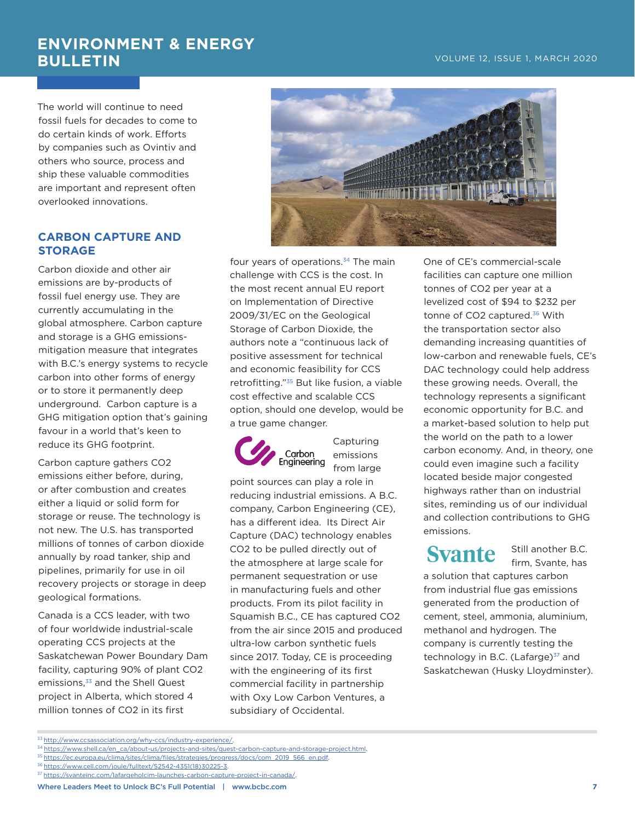The world will continue to need fossil fuels for decades to come to do certain kinds of work. Efforts by companies such as Ovintiv and others who source, process and ship these valuable commodities are important and represent often overlooked innovations.

#### **CARBON CAPTURE AND STORAGE**

Carbon dioxide and other air emissions are by-products of fossil fuel energy use. They are currently accumulating in the global atmosphere. Carbon capture and storage is a GHG emissionsmitigation measure that integrates with B.C.'s energy systems to recycle carbon into other forms of energy or to store it permanently deep underground. Carbon capture is a GHG mitigation option that's gaining favour in a world that's keen to reduce its GHG footprint.

Carbon capture gathers CO2 emissions either before, during, or after combustion and creates either a liquid or solid form for storage or reuse. The technology is not new. The U.S. has transported millions of tonnes of carbon dioxide annually by road tanker, ship and pipelines, primarily for use in oil recovery projects or storage in deep geological formations.

Canada is a CCS leader, with two of four worldwide industrial-scale operating CCS projects at the Saskatchewan Power Boundary Dam facility, capturing 90% of plant CO2 emissions,<sup>33</sup> and the Shell Quest project in Alberta, which stored 4 million tonnes of CO2 in its first



four years of operations.<sup>34</sup> The main challenge with CCS is the cost. In the most recent annual EU report on Implementation of Directive 2009/31/EC on the Geological Storage of Carbon Dioxide, the authors note a "continuous lack of positive assessment for technical and economic feasibility for CCS retrofitting."35 But like fusion, a viable cost effective and scalable CCS option, should one develop, would be a true game changer.



**Capturing** emissions from large

point sources can play a role in reducing industrial emissions. A B.C. company, Carbon Engineering (CE), has a different idea. Its Direct Air Capture (DAC) technology enables CO2 to be pulled directly out of the atmosphere at large scale for permanent sequestration or use in manufacturing fuels and other products. From its pilot facility in Squamish B.C., CE has captured CO2 from the air since 2015 and produced ultra-low carbon synthetic fuels since 2017. Today, CE is proceeding with the engineering of its first commercial facility in partnership with Oxy Low Carbon Ventures, a subsidiary of Occidental.

One of CE's commercial-scale facilities can capture one million tonnes of CO2 per year at a levelized cost of \$94 to \$232 per tonne of CO2 captured.<sup>36</sup> With the transportation sector also demanding increasing quantities of low-carbon and renewable fuels, CE's DAC technology could help address these growing needs. Overall, the technology represents a significant economic opportunity for B.C. and a market-based solution to help put the world on the path to a lower carbon economy. And, in theory, one could even imagine such a facility located beside major congested highways rather than on industrial sites, reminding us of our individual and collection contributions to GHG emissions.

## **Syante**

Still another B.C. firm, Svante, has

a solution that captures carbon from industrial flue gas emissions generated from the production of cement, steel, ammonia, aluminium, methanol and hydrogen. The company is currently testing the technology in B.C. (Lafarge) $37$  and Saskatchewan (Husky Lloydminster).

<sup>&</sup>lt;sup>33</sup> http://www.ccsassociation.org/why-ccs/industry-experience/.

<sup>34</sup> https://www.shell.ca/en\_ca/about-us/projects-and-sites/quest-carbon-capture-and-storage-project.html.

<sup>35</sup> https://ec.europa.eu/clima/sites/clima/files/strategies/progress/docs/com\_2019\_566\_en.pdf.

<sup>36</sup> https://www.cell.com/joule/fulltext/S2542-4351(18)30225-3.

<sup>37</sup> https://svanteinc.com/lafargeholcim-launches-carbon-capture-project-in-canada/.

Where Leaders Meet to Unlock BC's Full Potential | www.bcbc.com